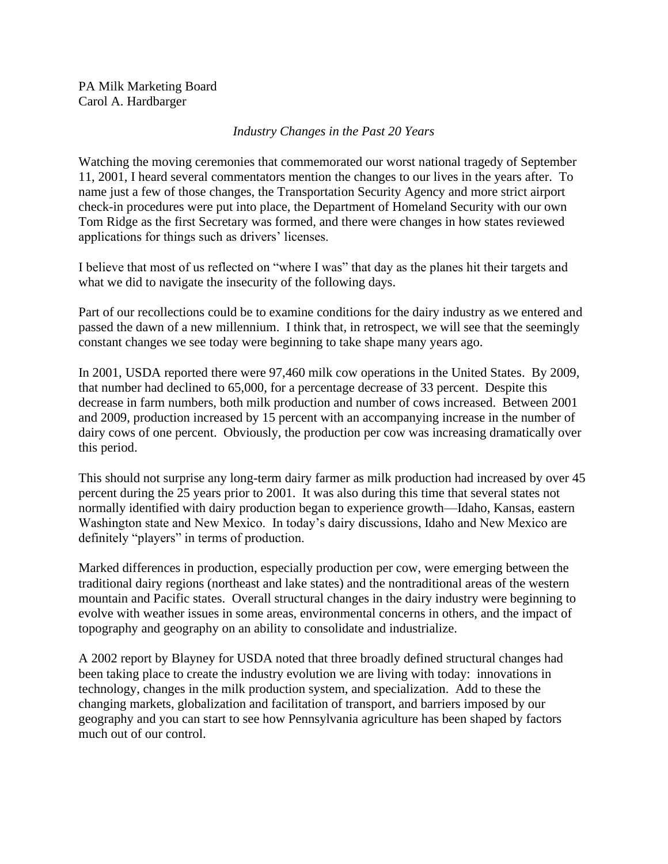PA Milk Marketing Board Carol A. Hardbarger

## *Industry Changes in the Past 20 Years*

Watching the moving ceremonies that commemorated our worst national tragedy of September 11, 2001, I heard several commentators mention the changes to our lives in the years after. To name just a few of those changes, the Transportation Security Agency and more strict airport check-in procedures were put into place, the Department of Homeland Security with our own Tom Ridge as the first Secretary was formed, and there were changes in how states reviewed applications for things such as drivers' licenses.

I believe that most of us reflected on "where I was" that day as the planes hit their targets and what we did to navigate the insecurity of the following days.

Part of our recollections could be to examine conditions for the dairy industry as we entered and passed the dawn of a new millennium. I think that, in retrospect, we will see that the seemingly constant changes we see today were beginning to take shape many years ago.

In 2001, USDA reported there were 97,460 milk cow operations in the United States. By 2009, that number had declined to 65,000, for a percentage decrease of 33 percent. Despite this decrease in farm numbers, both milk production and number of cows increased. Between 2001 and 2009, production increased by 15 percent with an accompanying increase in the number of dairy cows of one percent. Obviously, the production per cow was increasing dramatically over this period.

This should not surprise any long-term dairy farmer as milk production had increased by over 45 percent during the 25 years prior to 2001. It was also during this time that several states not normally identified with dairy production began to experience growth—Idaho, Kansas, eastern Washington state and New Mexico. In today's dairy discussions, Idaho and New Mexico are definitely "players" in terms of production.

Marked differences in production, especially production per cow, were emerging between the traditional dairy regions (northeast and lake states) and the nontraditional areas of the western mountain and Pacific states. Overall structural changes in the dairy industry were beginning to evolve with weather issues in some areas, environmental concerns in others, and the impact of topography and geography on an ability to consolidate and industrialize.

A 2002 report by Blayney for USDA noted that three broadly defined structural changes had been taking place to create the industry evolution we are living with today: innovations in technology, changes in the milk production system, and specialization. Add to these the changing markets, globalization and facilitation of transport, and barriers imposed by our geography and you can start to see how Pennsylvania agriculture has been shaped by factors much out of our control.